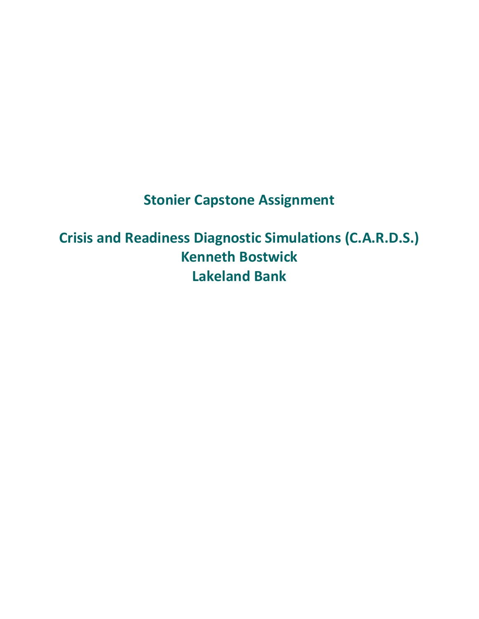## **Stonier Capstone Assignment**

**Crisis and Readiness Diagnostic Simulations (C.A.R.D.S.) Kenneth Bostwick Lakeland Bank**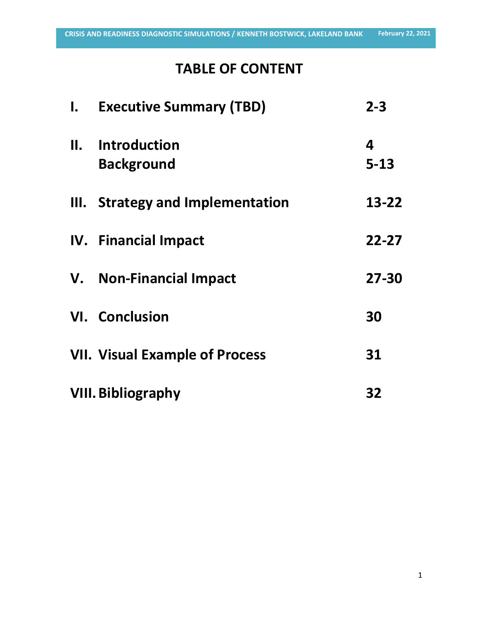# **TABLE OF CONTENT**

| <b>I.</b> Executive Summary (TBD)     | $2 - 3$       |
|---------------------------------------|---------------|
| II. Introduction<br><b>Background</b> | 4<br>$5 - 13$ |
| III. Strategy and Implementation      | 13-22         |
| <b>IV.</b> Financial Impact           | $22 - 27$     |
| V. Non-Financial Impact               | 27-30         |
| <b>VI.</b> Conclusion                 | 30            |
| <b>VII. Visual Example of Process</b> | 31            |
| <b>VIII. Bibliography</b>             | 32            |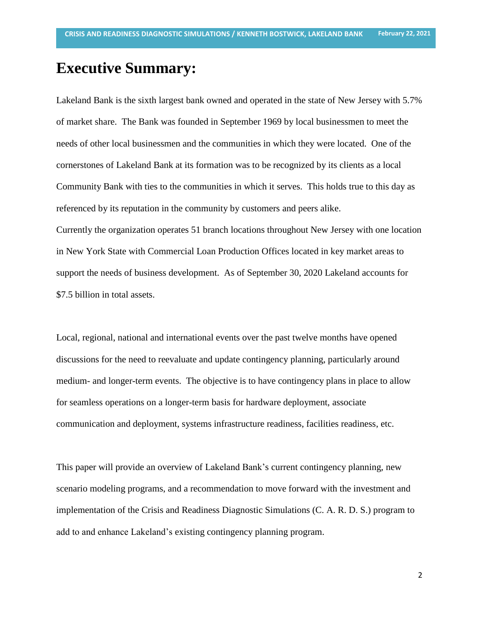## **Executive Summary:**

Lakeland Bank is the sixth largest bank owned and operated in the state of New Jersey with 5.7% of market share. The Bank was founded in September 1969 by local businessmen to meet the needs of other local businessmen and the communities in which they were located. One of the cornerstones of Lakeland Bank at its formation was to be recognized by its clients as a local Community Bank with ties to the communities in which it serves. This holds true to this day as referenced by its reputation in the community by customers and peers alike. Currently the organization operates 51 branch locations throughout New Jersey with one location in New York State with Commercial Loan Production Offices located in key market areas to support the needs of business development. As of September 30, 2020 Lakeland accounts for \$7.5 billion in total assets.

Local, regional, national and international events over the past twelve months have opened discussions for the need to reevaluate and update contingency planning, particularly around medium- and longer-term events. The objective is to have contingency plans in place to allow for seamless operations on a longer-term basis for hardware deployment, associate communication and deployment, systems infrastructure readiness, facilities readiness, etc.

This paper will provide an overview of Lakeland Bank's current contingency planning, new scenario modeling programs, and a recommendation to move forward with the investment and implementation of the Crisis and Readiness Diagnostic Simulations (C. A. R. D. S.) program to add to and enhance Lakeland's existing contingency planning program.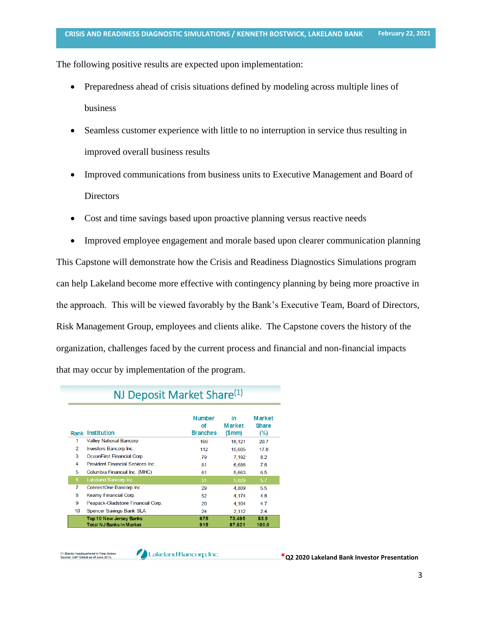The following positive results are expected upon implementation:

- Preparedness ahead of crisis situations defined by modeling across multiple lines of business
- Seamless customer experience with little to no interruption in service thus resulting in improved overall business results
- Improved communications from business units to Executive Management and Board of **Directors**
- Cost and time savings based upon proactive planning versus reactive needs
- Improved employee engagement and morale based upon clearer communication planning

This Capstone will demonstrate how the Crisis and Readiness Diagnostics Simulations program can help Lakeland become more effective with contingency planning by being more proactive in the approach. This will be viewed favorably by the Bank's Executive Team, Board of Directors, Risk Management Group, employees and clients alike. The Capstone covers the history of the organization, challenges faced by the current process and financial and non-financial impacts that may occur by implementation of the program.

| Rank           | Institution                                                       | <b>Number</b><br>Οf<br><b>Branches</b> | in<br><b>Market</b><br>(\$mm) | <b>Market</b><br>Share<br>$(\%)$ |
|----------------|-------------------------------------------------------------------|----------------------------------------|-------------------------------|----------------------------------|
| 1              | <b>Valley National Bancorp</b>                                    | 166                                    | 18,121                        | 20.7                             |
| $\overline{2}$ | Investors Bancorp Inc.                                            | 112                                    | 15,605                        | 17.8                             |
| 3              | OceanFirst Financial Corp.                                        | 79                                     | 7,192                         | 8.2                              |
| 4              | <b>Provident Financial Services Inc.</b>                          | 81                                     | 6,686                         | 7.6                              |
| 5              | Columbia Financial Inc. (MHC)                                     | 61                                     | 5,663                         | 6.5                              |
| 6              | Lakeland Bancorp Inc.                                             | 51                                     | 5.029                         | 5.7                              |
| 7              | ConnectOne Bancorp Inc.                                           | 29                                     | 4,809                         | 5.5                              |
| 8              | Keamy Financial Corp.                                             | 52                                     | 4.174                         | 4.8                              |
| 9              | Peapack-Gladstone Financial Corp.                                 | 20                                     | 4.104                         | 4.7                              |
| 10             | Spencer Savings Bank SLA                                          | 24                                     | 2,112                         | 2.4                              |
|                | <b>Top 10 New Jersey Banks</b><br><b>Total NJ Banks In Market</b> | 675<br>915                             | 73,495<br>87.621              | 83.9<br>100.0                    |

(1) Banks Headquartered in New Jersey<br>Source: S&P Global as of June 2019.

Lakeland Bancorp, Inc.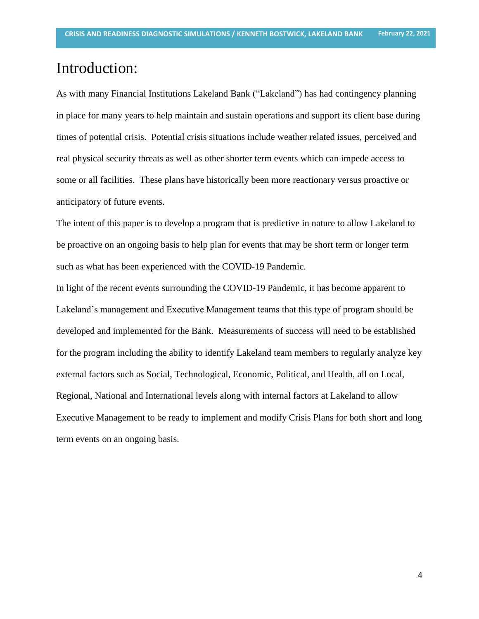### Introduction:

As with many Financial Institutions Lakeland Bank ("Lakeland") has had contingency planning in place for many years to help maintain and sustain operations and support its client base during times of potential crisis. Potential crisis situations include weather related issues, perceived and real physical security threats as well as other shorter term events which can impede access to some or all facilities. These plans have historically been more reactionary versus proactive or anticipatory of future events.

The intent of this paper is to develop a program that is predictive in nature to allow Lakeland to be proactive on an ongoing basis to help plan for events that may be short term or longer term such as what has been experienced with the COVID-19 Pandemic.

In light of the recent events surrounding the COVID-19 Pandemic, it has become apparent to Lakeland's management and Executive Management teams that this type of program should be developed and implemented for the Bank. Measurements of success will need to be established for the program including the ability to identify Lakeland team members to regularly analyze key external factors such as Social, Technological, Economic, Political, and Health, all on Local, Regional, National and International levels along with internal factors at Lakeland to allow Executive Management to be ready to implement and modify Crisis Plans for both short and long term events on an ongoing basis.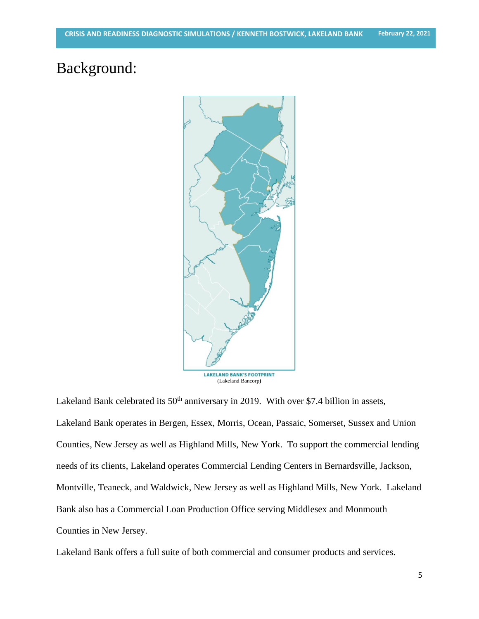## Background:



Lakeland Bank celebrated its  $50<sup>th</sup>$  anniversary in 2019. With over \$7.4 billion in assets, Lakeland Bank operates in Bergen, Essex, Morris, Ocean, Passaic, Somerset, Sussex and Union Counties, New Jersey as well as Highland Mills, New York. To support the commercial lending needs of its clients, Lakeland operates Commercial Lending Centers in Bernardsville, Jackson, Montville, Teaneck, and Waldwick, New Jersey as well as Highland Mills, New York. Lakeland Bank also has a Commercial Loan Production Office serving Middlesex and Monmouth Counties in New Jersey.

Lakeland Bank offers a full suite of both commercial and consumer products and services.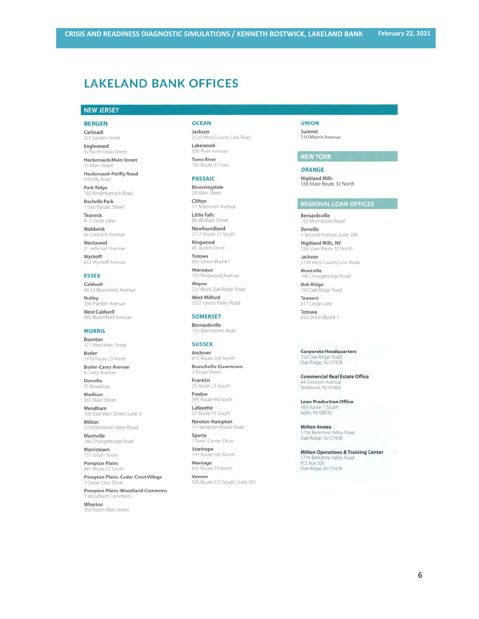### **LAKELAND BANK OFFICES**

#### **NEW JERSEY**

#### **BERGEN**

Carlstadt 325 Garden Street Englewood

Main Stre

42 North Dean Street Hackensack-Main Street

Hackensack-Polifly Road 9 Polifly Road

Park Ridge 165 Kinderkamack Road

**Rochelle Park** 1 East Passaic Street

Teaneck 417 Cedar Lane

Waldwick 64 Crescent Avenue

Westwood 21 Jefferson Avenue

Wyckoff 652 Wyckoff Avenue

**ESSEX** 

Caldwell 49-53 Bloomfield Avenue Nutley

356 Franklin Avenue **West Caldwell** 995 Bloomfield Avenue

#### **MORRIS**

Boonton 321 West Main Street Butler

1410 Route 23 North **Butler-Carey Avenue** 6 Carey Av

Denville 55 Broadwa

Madison 265 Main Street

Mendham 106 East Main Street, Suite A Milton

5729 Berkshire Valley Road Montville

166 Changebridge Road Morristown

151 South Street **Pompton Plains** 

901 Route 23 South

Pompton Plains-Cedar Crest Village Cedar Crest Driv

**Pompton Plains-Woodland Commons** 1 Woodland Commons

Wharton 350 North Main Street

#### **OCEAN**

Jackson 2120 West County Line Road Lakewood

500 River Avenue **Toms River** 104 Route 37 East

#### **PASSAIC**

Bloomingdale 28 Main Street

Clifton 1 Ackerman Avenue

**Little Falls** 86-88 Main Street

Newfoundland 2717 Route 23 South

Ringwood 45 Skyline Drive

Totowa 650 Union Blvd #1

Wanaque 103 Ringwood Avenue

Wayne<br>231 Black Oak Ridge Road **West Milford** 

1527 Union Valley Road

#### **SOMERSET**

Bernardsville 155 Morristown Road

#### **SUSSEX**

Andover 615 Route 206 North **Branchville Downtown** 

3 Broad Street Franklin

25 Route 23 South Fredon

395 Route 94 North Lafayette

37 Route 15 South Newton-Hampton

11 Hampton House Road Sparta

Town Center Drive

Stanhope<br>143 Route 183 North Wantage

455 Route 23 North

Vernon 529 Route 515 South, Suite 101

#### **UNION**

Summit 510 Morris Avenue

#### **NEW YORK**

**ORANGE Highland Mills** 556 State Route 32 North

#### **REGIONAL LOAN OFFICES**

Bernardsville 155 Morristown Road

Denville 4 Second Avenue, Suite 204

Highland Mills, NY 556 State Route 32 North

Jackson 2120 West County Line Road

Montville 166 Changebridge Road

Oak Ridge<br>250 Oak Ridge Road

Teaneck 417 Cedar Lane

Totowa 650 Union Blvd #1

**Corporate Headquarters** 250 Oak Ridge Road<br>Oak Ridge, NJ 07438

**Commercial Real Estate Office** 64 Crescent Avenue<br>Waldwick, NJ 07463

**Loan Production Office** 485 Route 1 South<br>Iselin, NJ 08830

**Milton Annex** 5736 Berkshire Valley Road Oak Ridge, NJ 07438

**Milton Operations & Training Center** 5716 Berkshire Valley Road<br>P.O. Box 326 Oak Ridge, NJ 07438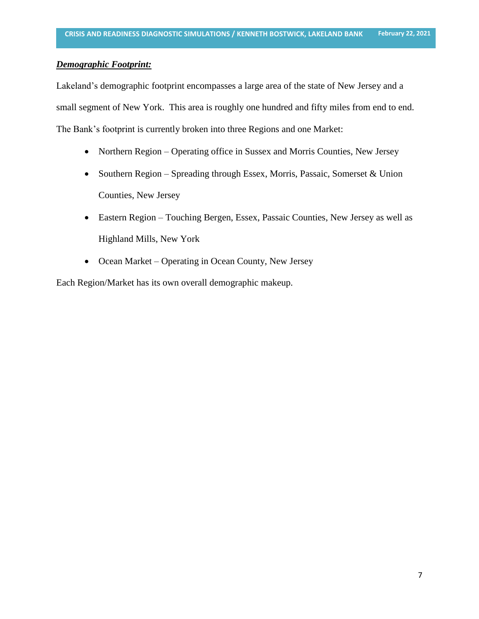### *Demographic Footprint:*

Lakeland's demographic footprint encompasses a large area of the state of New Jersey and a small segment of New York. This area is roughly one hundred and fifty miles from end to end. The Bank's footprint is currently broken into three Regions and one Market:

- Northern Region Operating office in Sussex and Morris Counties, New Jersey
- Southern Region Spreading through Essex, Morris, Passaic, Somerset & Union Counties, New Jersey
- Eastern Region Touching Bergen, Essex, Passaic Counties, New Jersey as well as Highland Mills, New York
- Ocean Market Operating in Ocean County, New Jersey

Each Region/Market has its own overall demographic makeup.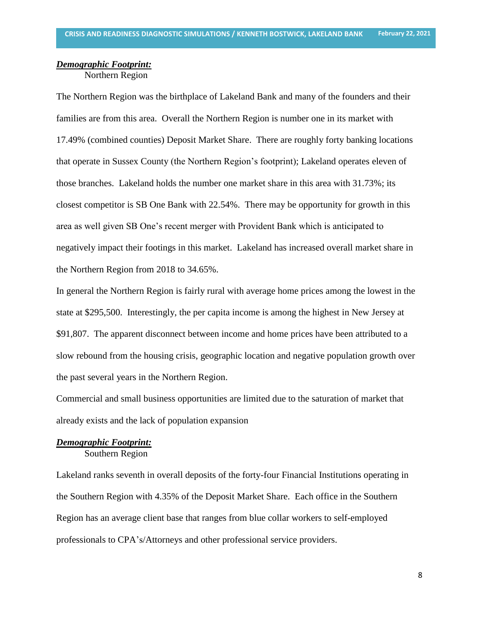#### *Demographic Footprint:* Northern Region

The Northern Region was the birthplace of Lakeland Bank and many of the founders and their families are from this area. Overall the Northern Region is number one in its market with 17.49% (combined counties) Deposit Market Share. There are roughly forty banking locations that operate in Sussex County (the Northern Region's footprint); Lakeland operates eleven of those branches. Lakeland holds the number one market share in this area with 31.73%; its closest competitor is SB One Bank with 22.54%. There may be opportunity for growth in this area as well given SB One's recent merger with Provident Bank which is anticipated to negatively impact their footings in this market. Lakeland has increased overall market share in the Northern Region from 2018 to 34.65%.

In general the Northern Region is fairly rural with average home prices among the lowest in the state at \$295,500. Interestingly, the per capita income is among the highest in New Jersey at \$91,807. The apparent disconnect between income and home prices have been attributed to a slow rebound from the housing crisis, geographic location and negative population growth over the past several years in the Northern Region.

Commercial and small business opportunities are limited due to the saturation of market that already exists and the lack of population expansion

### *Demographic Footprint:* Southern Region

Lakeland ranks seventh in overall deposits of the forty-four Financial Institutions operating in the Southern Region with 4.35% of the Deposit Market Share. Each office in the Southern Region has an average client base that ranges from blue collar workers to self-employed professionals to CPA's/Attorneys and other professional service providers.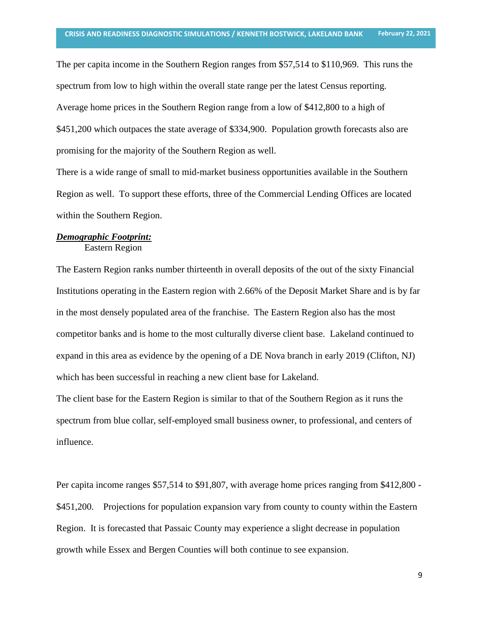The per capita income in the Southern Region ranges from \$57,514 to \$110,969. This runs the spectrum from low to high within the overall state range per the latest Census reporting. Average home prices in the Southern Region range from a low of \$412,800 to a high of \$451,200 which outpaces the state average of \$334,900. Population growth forecasts also are promising for the majority of the Southern Region as well.

There is a wide range of small to mid-market business opportunities available in the Southern Region as well. To support these efforts, three of the Commercial Lending Offices are located within the Southern Region.

#### *Demographic Footprint:* Eastern Region

The Eastern Region ranks number thirteenth in overall deposits of the out of the sixty Financial Institutions operating in the Eastern region with 2.66% of the Deposit Market Share and is by far in the most densely populated area of the franchise. The Eastern Region also has the most competitor banks and is home to the most culturally diverse client base. Lakeland continued to expand in this area as evidence by the opening of a DE Nova branch in early 2019 (Clifton, NJ) which has been successful in reaching a new client base for Lakeland.

The client base for the Eastern Region is similar to that of the Southern Region as it runs the spectrum from blue collar, self-employed small business owner, to professional, and centers of influence.

Per capita income ranges \$57,514 to \$91,807, with average home prices ranging from \$412,800 - \$451,200. Projections for population expansion vary from county to county within the Eastern Region. It is forecasted that Passaic County may experience a slight decrease in population growth while Essex and Bergen Counties will both continue to see expansion.

9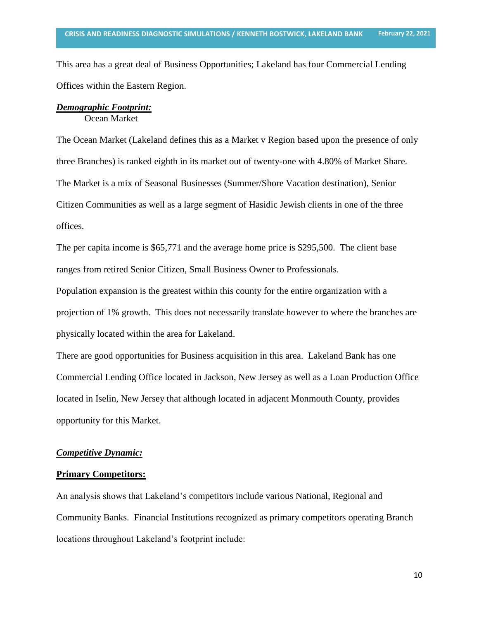This area has a great deal of Business Opportunities; Lakeland has four Commercial Lending Offices within the Eastern Region.

#### *Demographic Footprint:* Ocean Market

The Ocean Market (Lakeland defines this as a Market v Region based upon the presence of only three Branches) is ranked eighth in its market out of twenty-one with 4.80% of Market Share. The Market is a mix of Seasonal Businesses (Summer/Shore Vacation destination), Senior Citizen Communities as well as a large segment of Hasidic Jewish clients in one of the three offices.

The per capita income is \$65,771 and the average home price is \$295,500. The client base ranges from retired Senior Citizen, Small Business Owner to Professionals.

Population expansion is the greatest within this county for the entire organization with a projection of 1% growth. This does not necessarily translate however to where the branches are physically located within the area for Lakeland.

There are good opportunities for Business acquisition in this area. Lakeland Bank has one Commercial Lending Office located in Jackson, New Jersey as well as a Loan Production Office located in Iselin, New Jersey that although located in adjacent Monmouth County, provides opportunity for this Market.

### *Competitive Dynamic:*

#### **Primary Competitors:**

An analysis shows that Lakeland's competitors include various National, Regional and Community Banks. Financial Institutions recognized as primary competitors operating Branch locations throughout Lakeland's footprint include: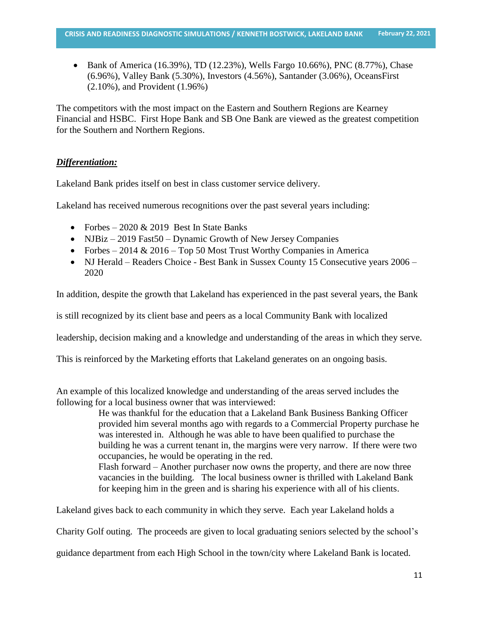• Bank of America (16.39%), TD (12.23%), Wells Fargo 10.66%), PNC (8.77%), Chase (6.96%), Valley Bank (5.30%), Investors (4.56%), Santander (3.06%), OceansFirst (2.10%), and Provident (1.96%)

The competitors with the most impact on the Eastern and Southern Regions are Kearney Financial and HSBC. First Hope Bank and SB One Bank are viewed as the greatest competition for the Southern and Northern Regions.

### *Differentiation:*

Lakeland Bank prides itself on best in class customer service delivery.

Lakeland has received numerous recognitions over the past several years including:

- Forbes 2020  $& 2019$  Best In State Banks
- NJBiz 2019 Fast 50 Dynamic Growth of New Jersey Companies
- Forbes 2014 & 2016 Top 50 Most Trust Worthy Companies in America
- NJ Herald Readers Choice Best Bank in Sussex County 15 Consecutive years 2006 2020

In addition, despite the growth that Lakeland has experienced in the past several years, the Bank

is still recognized by its client base and peers as a local Community Bank with localized

leadership, decision making and a knowledge and understanding of the areas in which they serve.

This is reinforced by the Marketing efforts that Lakeland generates on an ongoing basis.

An example of this localized knowledge and understanding of the areas served includes the following for a local business owner that was interviewed:

> He was thankful for the education that a Lakeland Bank Business Banking Officer provided him several months ago with regards to a Commercial Property purchase he was interested in. Although he was able to have been qualified to purchase the building he was a current tenant in, the margins were very narrow. If there were two occupancies, he would be operating in the red.

Flash forward – Another purchaser now owns the property, and there are now three vacancies in the building. The local business owner is thrilled with Lakeland Bank for keeping him in the green and is sharing his experience with all of his clients.

Lakeland gives back to each community in which they serve. Each year Lakeland holds a

Charity Golf outing. The proceeds are given to local graduating seniors selected by the school's

guidance department from each High School in the town/city where Lakeland Bank is located.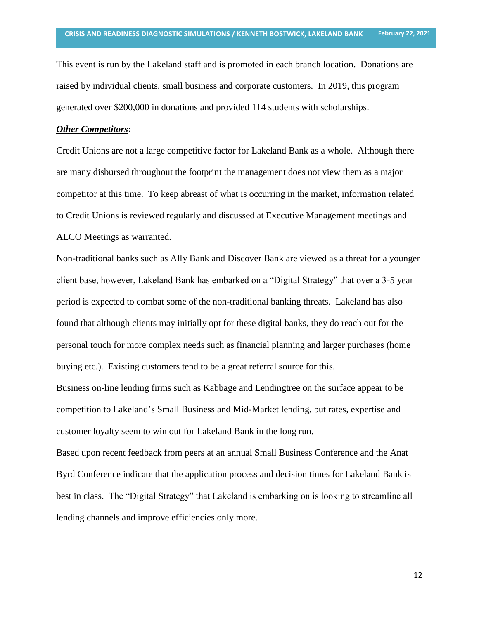This event is run by the Lakeland staff and is promoted in each branch location. Donations are raised by individual clients, small business and corporate customers. In 2019, this program generated over \$200,000 in donations and provided 114 students with scholarships.

#### *Other Competitors***:**

Credit Unions are not a large competitive factor for Lakeland Bank as a whole. Although there are many disbursed throughout the footprint the management does not view them as a major competitor at this time. To keep abreast of what is occurring in the market, information related to Credit Unions is reviewed regularly and discussed at Executive Management meetings and ALCO Meetings as warranted.

Non-traditional banks such as Ally Bank and Discover Bank are viewed as a threat for a younger client base, however, Lakeland Bank has embarked on a "Digital Strategy" that over a 3-5 year period is expected to combat some of the non-traditional banking threats. Lakeland has also found that although clients may initially opt for these digital banks, they do reach out for the personal touch for more complex needs such as financial planning and larger purchases (home buying etc.). Existing customers tend to be a great referral source for this.

Business on-line lending firms such as Kabbage and Lendingtree on the surface appear to be competition to Lakeland's Small Business and Mid-Market lending, but rates, expertise and customer loyalty seem to win out for Lakeland Bank in the long run.

Based upon recent feedback from peers at an annual Small Business Conference and the Anat Byrd Conference indicate that the application process and decision times for Lakeland Bank is best in class. The "Digital Strategy" that Lakeland is embarking on is looking to streamline all lending channels and improve efficiencies only more.

12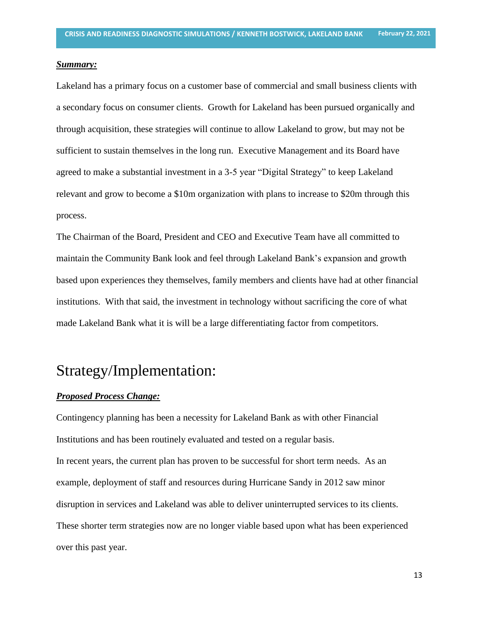#### *Summary:*

Lakeland has a primary focus on a customer base of commercial and small business clients with a secondary focus on consumer clients. Growth for Lakeland has been pursued organically and through acquisition, these strategies will continue to allow Lakeland to grow, but may not be sufficient to sustain themselves in the long run. Executive Management and its Board have agreed to make a substantial investment in a 3-5 year "Digital Strategy" to keep Lakeland relevant and grow to become a \$10m organization with plans to increase to \$20m through this process.

The Chairman of the Board, President and CEO and Executive Team have all committed to maintain the Community Bank look and feel through Lakeland Bank's expansion and growth based upon experiences they themselves, family members and clients have had at other financial institutions. With that said, the investment in technology without sacrificing the core of what made Lakeland Bank what it is will be a large differentiating factor from competitors.

## Strategy/Implementation:

#### *Proposed Process Change:*

Contingency planning has been a necessity for Lakeland Bank as with other Financial Institutions and has been routinely evaluated and tested on a regular basis. In recent years, the current plan has proven to be successful for short term needs. As an example, deployment of staff and resources during Hurricane Sandy in 2012 saw minor disruption in services and Lakeland was able to deliver uninterrupted services to its clients. These shorter term strategies now are no longer viable based upon what has been experienced over this past year.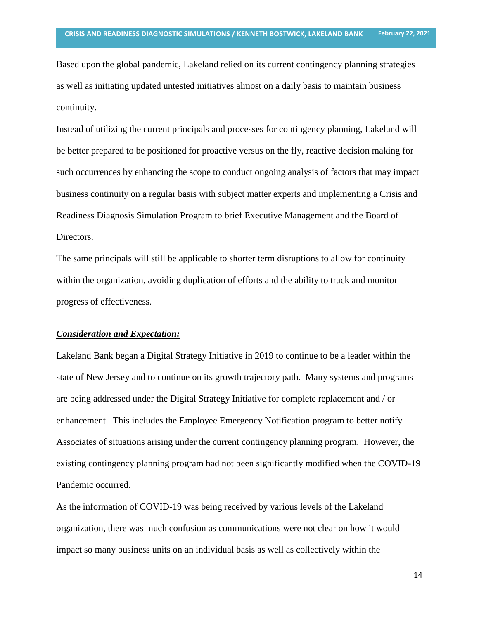Based upon the global pandemic, Lakeland relied on its current contingency planning strategies as well as initiating updated untested initiatives almost on a daily basis to maintain business continuity.

Instead of utilizing the current principals and processes for contingency planning, Lakeland will be better prepared to be positioned for proactive versus on the fly, reactive decision making for such occurrences by enhancing the scope to conduct ongoing analysis of factors that may impact business continuity on a regular basis with subject matter experts and implementing a Crisis and Readiness Diagnosis Simulation Program to brief Executive Management and the Board of Directors.

The same principals will still be applicable to shorter term disruptions to allow for continuity within the organization, avoiding duplication of efforts and the ability to track and monitor progress of effectiveness.

#### *Consideration and Expectation:*

Lakeland Bank began a Digital Strategy Initiative in 2019 to continue to be a leader within the state of New Jersey and to continue on its growth trajectory path. Many systems and programs are being addressed under the Digital Strategy Initiative for complete replacement and / or enhancement. This includes the Employee Emergency Notification program to better notify Associates of situations arising under the current contingency planning program. However, the existing contingency planning program had not been significantly modified when the COVID-19 Pandemic occurred.

As the information of COVID-19 was being received by various levels of the Lakeland organization, there was much confusion as communications were not clear on how it would impact so many business units on an individual basis as well as collectively within the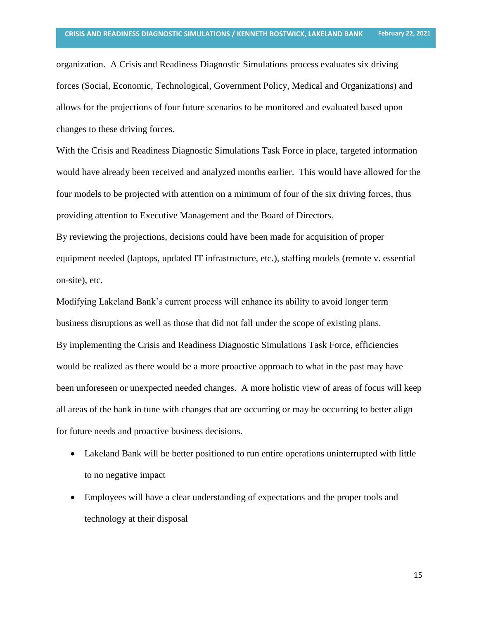organization. A Crisis and Readiness Diagnostic Simulations process evaluates six driving forces (Social, Economic, Technological, Government Policy, Medical and Organizations) and allows for the projections of four future scenarios to be monitored and evaluated based upon changes to these driving forces.

With the Crisis and Readiness Diagnostic Simulations Task Force in place, targeted information would have already been received and analyzed months earlier. This would have allowed for the four models to be projected with attention on a minimum of four of the six driving forces, thus providing attention to Executive Management and the Board of Directors.

By reviewing the projections, decisions could have been made for acquisition of proper equipment needed (laptops, updated IT infrastructure, etc.), staffing models (remote v. essential on-site), etc.

Modifying Lakeland Bank's current process will enhance its ability to avoid longer term business disruptions as well as those that did not fall under the scope of existing plans. By implementing the Crisis and Readiness Diagnostic Simulations Task Force, efficiencies would be realized as there would be a more proactive approach to what in the past may have been unforeseen or unexpected needed changes. A more holistic view of areas of focus will keep all areas of the bank in tune with changes that are occurring or may be occurring to better align for future needs and proactive business decisions.

- Lakeland Bank will be better positioned to run entire operations uninterrupted with little to no negative impact
- Employees will have a clear understanding of expectations and the proper tools and technology at their disposal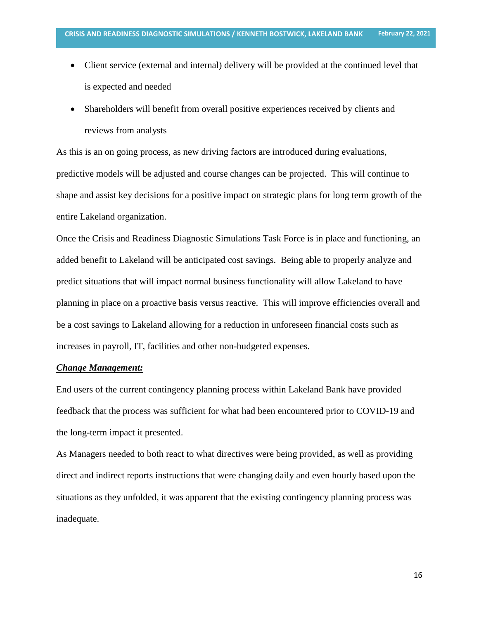- Client service (external and internal) delivery will be provided at the continued level that is expected and needed
- Shareholders will benefit from overall positive experiences received by clients and reviews from analysts

As this is an on going process, as new driving factors are introduced during evaluations, predictive models will be adjusted and course changes can be projected. This will continue to shape and assist key decisions for a positive impact on strategic plans for long term growth of the entire Lakeland organization.

Once the Crisis and Readiness Diagnostic Simulations Task Force is in place and functioning, an added benefit to Lakeland will be anticipated cost savings. Being able to properly analyze and predict situations that will impact normal business functionality will allow Lakeland to have planning in place on a proactive basis versus reactive. This will improve efficiencies overall and be a cost savings to Lakeland allowing for a reduction in unforeseen financial costs such as increases in payroll, IT, facilities and other non-budgeted expenses.

#### *Change Management:*

End users of the current contingency planning process within Lakeland Bank have provided feedback that the process was sufficient for what had been encountered prior to COVID-19 and the long-term impact it presented.

As Managers needed to both react to what directives were being provided, as well as providing direct and indirect reports instructions that were changing daily and even hourly based upon the situations as they unfolded, it was apparent that the existing contingency planning process was inadequate.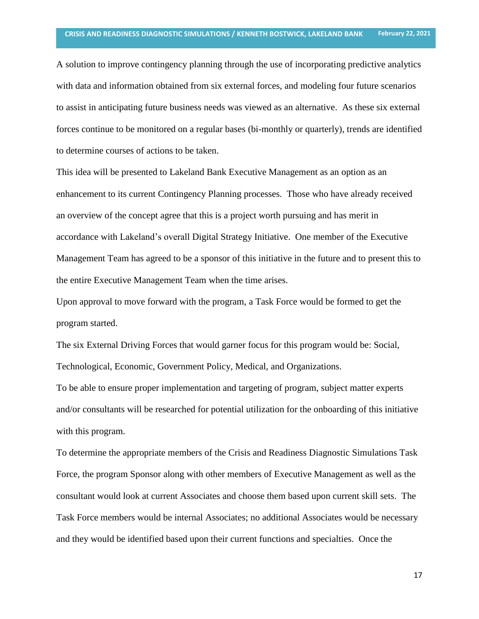A solution to improve contingency planning through the use of incorporating predictive analytics with data and information obtained from six external forces, and modeling four future scenarios to assist in anticipating future business needs was viewed as an alternative. As these six external forces continue to be monitored on a regular bases (bi-monthly or quarterly), trends are identified to determine courses of actions to be taken.

This idea will be presented to Lakeland Bank Executive Management as an option as an enhancement to its current Contingency Planning processes. Those who have already received an overview of the concept agree that this is a project worth pursuing and has merit in accordance with Lakeland's overall Digital Strategy Initiative. One member of the Executive Management Team has agreed to be a sponsor of this initiative in the future and to present this to the entire Executive Management Team when the time arises.

Upon approval to move forward with the program, a Task Force would be formed to get the program started.

The six External Driving Forces that would garner focus for this program would be: Social, Technological, Economic, Government Policy, Medical, and Organizations.

To be able to ensure proper implementation and targeting of program, subject matter experts and/or consultants will be researched for potential utilization for the onboarding of this initiative with this program.

To determine the appropriate members of the Crisis and Readiness Diagnostic Simulations Task Force, the program Sponsor along with other members of Executive Management as well as the consultant would look at current Associates and choose them based upon current skill sets. The Task Force members would be internal Associates; no additional Associates would be necessary and they would be identified based upon their current functions and specialties. Once the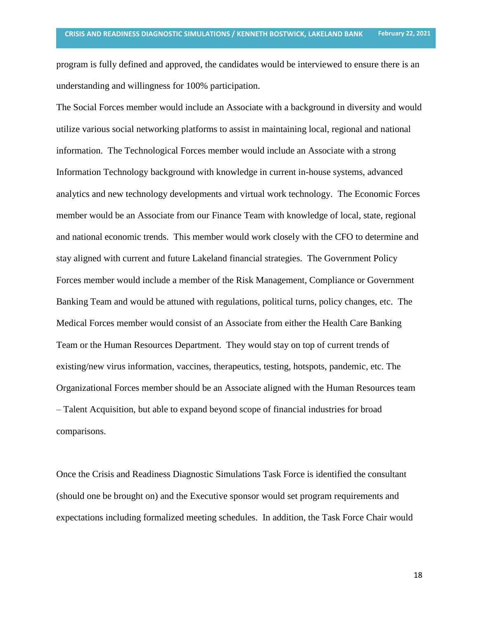program is fully defined and approved, the candidates would be interviewed to ensure there is an understanding and willingness for 100% participation.

The Social Forces member would include an Associate with a background in diversity and would utilize various social networking platforms to assist in maintaining local, regional and national information. The Technological Forces member would include an Associate with a strong Information Technology background with knowledge in current in-house systems, advanced analytics and new technology developments and virtual work technology. The Economic Forces member would be an Associate from our Finance Team with knowledge of local, state, regional and national economic trends. This member would work closely with the CFO to determine and stay aligned with current and future Lakeland financial strategies. The Government Policy Forces member would include a member of the Risk Management, Compliance or Government Banking Team and would be attuned with regulations, political turns, policy changes, etc. The Medical Forces member would consist of an Associate from either the Health Care Banking Team or the Human Resources Department. They would stay on top of current trends of existing/new virus information, vaccines, therapeutics, testing, hotspots, pandemic, etc. The Organizational Forces member should be an Associate aligned with the Human Resources team – Talent Acquisition, but able to expand beyond scope of financial industries for broad comparisons.

Once the Crisis and Readiness Diagnostic Simulations Task Force is identified the consultant (should one be brought on) and the Executive sponsor would set program requirements and expectations including formalized meeting schedules. In addition, the Task Force Chair would

18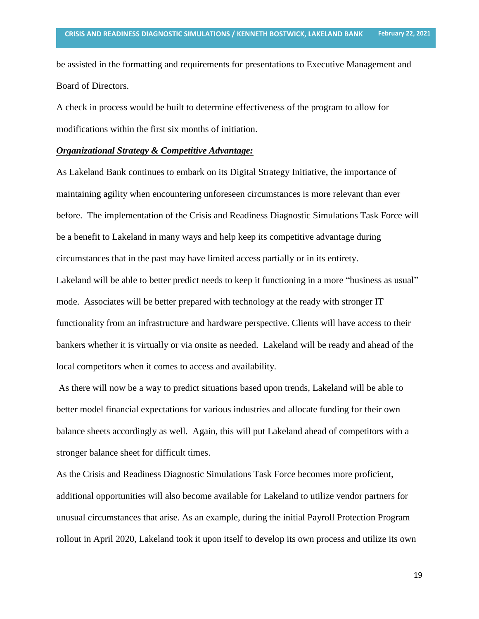be assisted in the formatting and requirements for presentations to Executive Management and Board of Directors.

A check in process would be built to determine effectiveness of the program to allow for modifications within the first six months of initiation.

#### *Organizational Strategy & Competitive Advantage:*

As Lakeland Bank continues to embark on its Digital Strategy Initiative, the importance of maintaining agility when encountering unforeseen circumstances is more relevant than ever before. The implementation of the Crisis and Readiness Diagnostic Simulations Task Force will be a benefit to Lakeland in many ways and help keep its competitive advantage during circumstances that in the past may have limited access partially or in its entirety.

Lakeland will be able to better predict needs to keep it functioning in a more "business as usual" mode. Associates will be better prepared with technology at the ready with stronger IT functionality from an infrastructure and hardware perspective. Clients will have access to their bankers whether it is virtually or via onsite as needed. Lakeland will be ready and ahead of the local competitors when it comes to access and availability.

As there will now be a way to predict situations based upon trends, Lakeland will be able to better model financial expectations for various industries and allocate funding for their own balance sheets accordingly as well. Again, this will put Lakeland ahead of competitors with a stronger balance sheet for difficult times.

As the Crisis and Readiness Diagnostic Simulations Task Force becomes more proficient, additional opportunities will also become available for Lakeland to utilize vendor partners for unusual circumstances that arise. As an example, during the initial Payroll Protection Program rollout in April 2020, Lakeland took it upon itself to develop its own process and utilize its own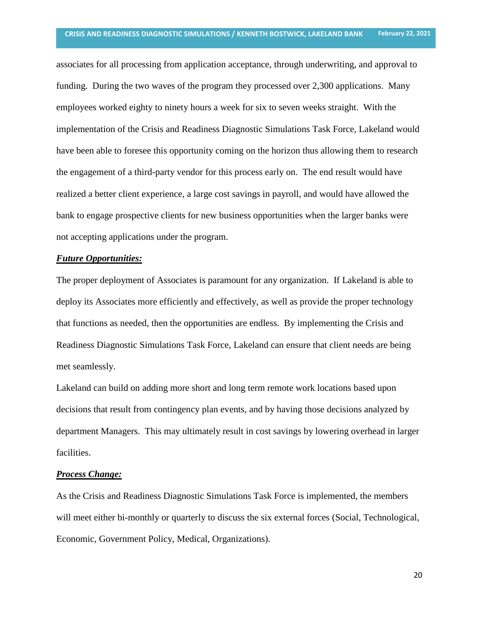associates for all processing from application acceptance, through underwriting, and approval to funding. During the two waves of the program they processed over 2,300 applications. Many employees worked eighty to ninety hours a week for six to seven weeks straight. With the implementation of the Crisis and Readiness Diagnostic Simulations Task Force, Lakeland would have been able to foresee this opportunity coming on the horizon thus allowing them to research the engagement of a third-party vendor for this process early on. The end result would have realized a better client experience, a large cost savings in payroll, and would have allowed the bank to engage prospective clients for new business opportunities when the larger banks were not accepting applications under the program.

#### *Future Opportunities:*

The proper deployment of Associates is paramount for any organization. If Lakeland is able to deploy its Associates more efficiently and effectively, as well as provide the proper technology that functions as needed, then the opportunities are endless. By implementing the Crisis and Readiness Diagnostic Simulations Task Force, Lakeland can ensure that client needs are being met seamlessly.

Lakeland can build on adding more short and long term remote work locations based upon decisions that result from contingency plan events, and by having those decisions analyzed by department Managers. This may ultimately result in cost savings by lowering overhead in larger facilities.

#### *Process Change:*

As the Crisis and Readiness Diagnostic Simulations Task Force is implemented, the members will meet either bi-monthly or quarterly to discuss the six external forces (Social, Technological, Economic, Government Policy, Medical, Organizations).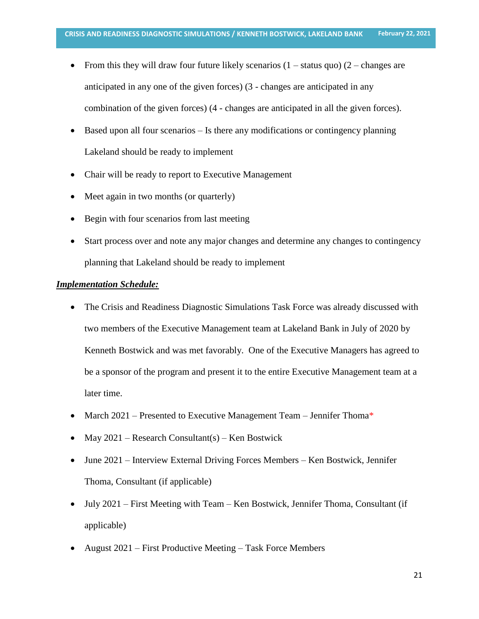- From this they will draw four future likely scenarios  $(1 -$  status quo)  $(2 -$  changes are anticipated in any one of the given forces) (3 - changes are anticipated in any combination of the given forces) (4 - changes are anticipated in all the given forces).
- Based upon all four scenarios Is there any modifications or contingency planning Lakeland should be ready to implement
- Chair will be ready to report to Executive Management
- Meet again in two months (or quarterly)
- Begin with four scenarios from last meeting
- Start process over and note any major changes and determine any changes to contingency planning that Lakeland should be ready to implement

### *Implementation Schedule:*

- The Crisis and Readiness Diagnostic Simulations Task Force was already discussed with two members of the Executive Management team at Lakeland Bank in July of 2020 by Kenneth Bostwick and was met favorably. One of the Executive Managers has agreed to be a sponsor of the program and present it to the entire Executive Management team at a later time.
- March 2021 Presented to Executive Management Team Jennifer Thoma\*
- May  $2021$  Research Consultant(s) Ken Bostwick
- June 2021 Interview External Driving Forces Members Ken Bostwick, Jennifer Thoma, Consultant (if applicable)
- July 2021 First Meeting with Team Ken Bostwick, Jennifer Thoma, Consultant (if applicable)
- August 2021 First Productive Meeting Task Force Members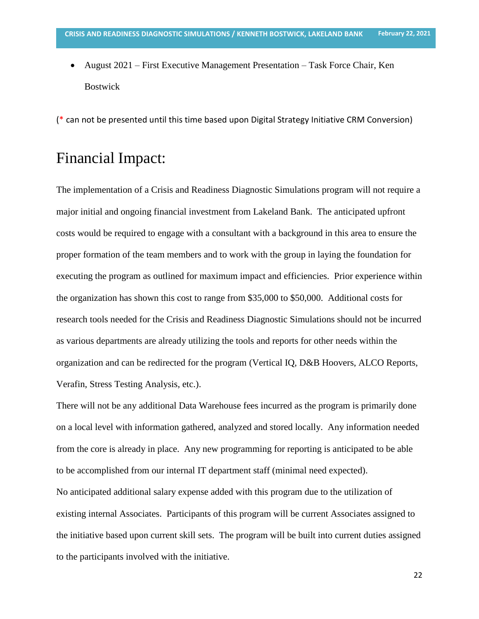• August 2021 – First Executive Management Presentation – Task Force Chair, Ken Bostwick

(\* can not be presented until this time based upon Digital Strategy Initiative CRM Conversion)

### Financial Impact:

The implementation of a Crisis and Readiness Diagnostic Simulations program will not require a major initial and ongoing financial investment from Lakeland Bank. The anticipated upfront costs would be required to engage with a consultant with a background in this area to ensure the proper formation of the team members and to work with the group in laying the foundation for executing the program as outlined for maximum impact and efficiencies. Prior experience within the organization has shown this cost to range from \$35,000 to \$50,000. Additional costs for research tools needed for the Crisis and Readiness Diagnostic Simulations should not be incurred as various departments are already utilizing the tools and reports for other needs within the organization and can be redirected for the program (Vertical IQ, D&B Hoovers, ALCO Reports, Verafin, Stress Testing Analysis, etc.).

There will not be any additional Data Warehouse fees incurred as the program is primarily done on a local level with information gathered, analyzed and stored locally. Any information needed from the core is already in place. Any new programming for reporting is anticipated to be able to be accomplished from our internal IT department staff (minimal need expected). No anticipated additional salary expense added with this program due to the utilization of existing internal Associates. Participants of this program will be current Associates assigned to the initiative based upon current skill sets. The program will be built into current duties assigned to the participants involved with the initiative.

22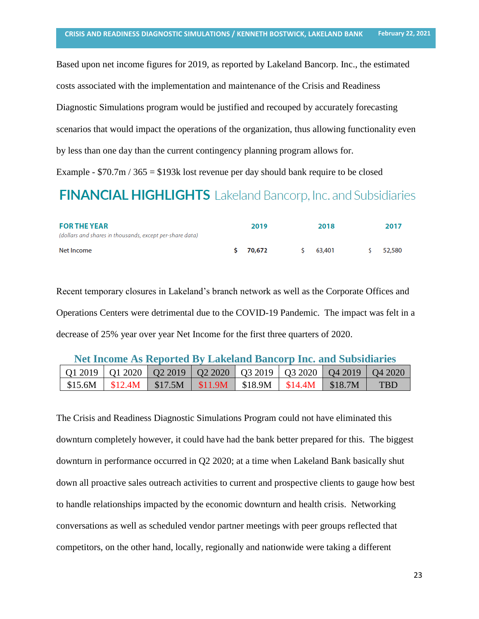Based upon net income figures for 2019, as reported by Lakeland Bancorp. Inc., the estimated costs associated with the implementation and maintenance of the Crisis and Readiness Diagnostic Simulations program would be justified and recouped by accurately forecasting scenarios that would impact the operations of the organization, thus allowing functionality even by less than one day than the current contingency planning program allows for.

Example -  $$70.7m / 365 = $193k$  lost revenue per day should bank require to be closed

## FINANCIAL HIGHLIGHTS Lakeland Bancorp, Inc. and Subsidiaries

| <b>FOR THE YEAR</b><br>(dollars and shares in thousands, except per-share data) | 2019      | 2018   | 2017 |        |  |  |
|---------------------------------------------------------------------------------|-----------|--------|------|--------|--|--|
| Net Income                                                                      | \$ 70,672 | 63.401 |      | 52.580 |  |  |

Recent temporary closures in Lakeland's branch network as well as the Corporate Offices and Operations Centers were detrimental due to the COVID-19 Pandemic. The impact was felt in a decrease of 25% year over year Net Income for the first three quarters of 2020.

|  |  | <b>Net Income As Reported By Lakeland Bancorp Inc. and Subsidiaries</b> |
|--|--|-------------------------------------------------------------------------|
|  |  |                                                                         |

|  | Q1 2019   Q1 2020   Q2 2019   Q2 2020   Q3 2019   Q3 2020   Q4 2019   Q4 2020 |  |  |            |
|--|-------------------------------------------------------------------------------|--|--|------------|
|  | \$15.6M   \$12.4M   \$17.5M   \$11.9M   \$18.9M   \$14.4M   \$18.7M           |  |  | <b>TRD</b> |

The Crisis and Readiness Diagnostic Simulations Program could not have eliminated this downturn completely however, it could have had the bank better prepared for this. The biggest downturn in performance occurred in Q2 2020; at a time when Lakeland Bank basically shut down all proactive sales outreach activities to current and prospective clients to gauge how best to handle relationships impacted by the economic downturn and health crisis. Networking conversations as well as scheduled vendor partner meetings with peer groups reflected that competitors, on the other hand, locally, regionally and nationwide were taking a different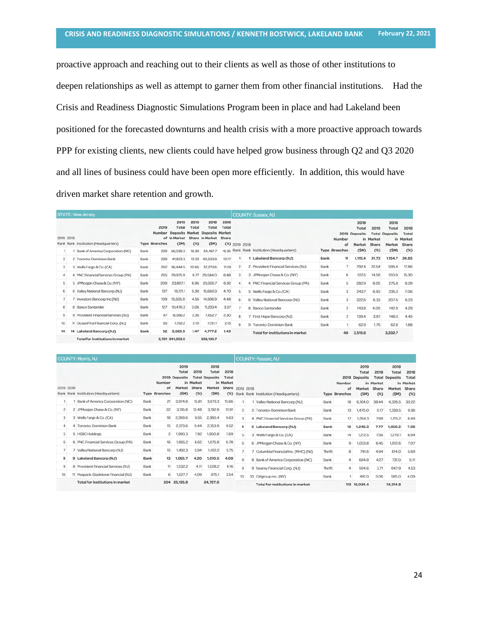proactive approach and reaching out to their clients as well as those of other institutions to deepen relationships as well as attempt to garner them from other financial institutions. Had the Crisis and Readiness Diagnostic Simulations Program been in place and had Lakeland been positioned for the forecasted downturns and health crisis with a more proactive approach towards PPP for existing clients, new clients could have helped grow business through Q2 and Q3 2020 and all lines of business could have been open more efficiently. In addition, this would have driven market share retention and growth.

| <b>STATE: New Jersey</b>                                                |    |                                     |      |     |          |                      |          |       |                | <b>COUNTY: Sussex, NJ</b>             |                                         |                                                                                    |                               |           |       |         |       |              |                                          |                            |                                                  |                                     |
|-------------------------------------------------------------------------|----|-------------------------------------|------|-----|----------|----------------------|----------|-------|----------------|---------------------------------------|-----------------------------------------|------------------------------------------------------------------------------------|-------------------------------|-----------|-------|---------|-------|--------------|------------------------------------------|----------------------------|--------------------------------------------------|-------------------------------------|
| 2019 2018<br>Rank Rank Institution (Headquarters)                       |    |                                     | 2019 |     |          | <b>Type Branches</b> |          |       | Number         | 2019<br>Total<br>of in Market<br>(SM) | 2019<br>Total<br>(%)                    | 2018<br>Total<br><b>Deposits Market Deposits Market</b><br>Share in Market<br>(SM) | 2018<br>Total<br>Share<br>(%) | 2019 2018 |       |         |       | Number<br>of | 2019<br>Total<br>2019 Deposits<br>Market | 2019<br>in Market<br>Share | 2018<br>Total<br><b>Total Deposits</b><br>Market | 2018<br>Total<br>in Market<br>Share |
|                                                                         |    | Bank of America Corporation (NC)    | Bank | 229 | 56,039.3 | 16.39                | 54,461.7 | 16.35 |                |                                       | Rank Rank Institution (Headquarters)    |                                                                                    | <b>Type Branches</b>          | (SM)      | (%)   | (SM)    | (%)   |              |                                          |                            |                                                  |                                     |
| $\overline{c}$                                                          |    | 2 Toronto-Dominion Bank             | Bank | 239 | 41.823.3 | 12.23                | 40,533.9 | 12.17 |                |                                       | Lakeland Bancorp (NJ)                   | Bank                                                                               | 11                            | 1,115.4   | 31.73 | 1,154.7 | 34.65 |              |                                          |                            |                                                  |                                     |
| 3                                                                       |    | 3 Wells Fargo & Co. (CA)            | Bank | 262 | 36,444.5 | 10.66                | 37,273.6 | 11.19 | $\overline{c}$ | $\overline{c}$                        | Provident Financial Services (NJ)       | Bank                                                                               | $\overline{7}$                | 792.4     | 22.54 | 595.4   | 17.86 |              |                                          |                            |                                                  |                                     |
| 4                                                                       |    | 4 PNC Financial Services Group (PA) | Bank | 265 | 29.975.9 | 8.77                 | 29,584.0 | 8.88  | 3              |                                       | 3 JPMorgan Chase & Co. (NY)             | Bank                                                                               | 6                             | 512.5     | 14.58 | 510.0   | 15.30 |              |                                          |                            |                                                  |                                     |
| 5                                                                       |    | 5 JPMorgan Chase & Co. (NY)         | Bank | 209 | 23,807.1 | 6.96                 | 23,065.7 | 6.92  | 4              |                                       | 4 PNC Financial Services Group (PA)     | Bank                                                                               | 5                             | 282.9     | 8.05  | 275.8   | 8.28  |              |                                          |                            |                                                  |                                     |
| 6                                                                       |    | 6 Valley National Bancorp (NJ)      | Bank | 137 | 18,121.1 | 5.30                 | 15,660.3 | 4.70  | 5              |                                       | 5 Wells Fargo & Co. (CA)                | Bank                                                                               | 3                             | 243.7     | 6.93  | 235.3   | 7.06  |              |                                          |                            |                                                  |                                     |
| э                                                                       |    | Investors Bancorp Inc (NJ)          | Bank | 109 | 15,605.0 | 4.56                 | 14,936.9 | 4.48  | 6              |                                       | 6 Valley National Bancorp (NJ)          | Bank                                                                               | 3                             | 222.6     | 6.33  | 207.6   | 6.23  |              |                                          |                            |                                                  |                                     |
| 8                                                                       |    | 8 Banco Santander                   | Bank | 127 | 10,476.3 | 3.06                 | 11,233.4 | 3.37  |                |                                       | 8 Banco Santander                       | Bank                                                                               | $\overline{2}$                | 143.8     | 4.09  | 142.9   | 4.29  |              |                                          |                            |                                                  |                                     |
| 9                                                                       |    | 9 Provident Financial Services (NJ) | Bank | 97  | 8.066.2  | 2.36                 | 7,652.7  | 2.30  | 8              |                                       | First Hope Bancorp (NJ)                 | Bank                                                                               | $\overline{c}$                | 139.4     | 3.97  | 148.3   | 4.45  |              |                                          |                            |                                                  |                                     |
| 10                                                                      | 11 | OceanFirst Financial Corp. (NJ)     | Bank | 65  | 7,192.2  | 2.10                 | 7,151.1  | 2.15  | $\overline{9}$ |                                       | 9 Toronto-Dominion Bank                 | Bank                                                                               |                               | 62.9      | 1.79  | 62.8    | 1.88  |              |                                          |                            |                                                  |                                     |
| 14                                                                      |    | 14 Lakeland Bancorp (NJ)            | Bank | 52  | 5,028.9  | 1.47                 | 4,777.2  | 1.43  |                |                                       | <b>Total for institutions in market</b> |                                                                                    | 40                            | 3,515.6   |       | 3,332.7 |       |              |                                          |                            |                                                  |                                     |
| <b>Total for institutions in market</b><br>2,721 341,953.5<br>333,135.7 |    |                                     |      |     |          |                      |          |       |                |                                       |                                         |                                                                                    |                               |           |       |         |       |              |                                          |                            |                                                  |                                     |

| <b>COUNTY: Morris, NJ</b>                         |  |                                                                                          |             |                                                                                               |          |                                            |                                                   |       | <b>COUNTY: Passaic, NJ</b> |    |                                                                                                |               |                                |                                                          |                                            |          |       |  |
|---------------------------------------------------|--|------------------------------------------------------------------------------------------|-------------|-----------------------------------------------------------------------------------------------|----------|--------------------------------------------|---------------------------------------------------|-------|----------------------------|----|------------------------------------------------------------------------------------------------|---------------|--------------------------------|----------------------------------------------------------|--------------------------------------------|----------|-------|--|
| 2019 2018<br>Rank Rank Institution (Headquarters) |  | 2019<br>Total<br>2019 Deposits<br>Number<br>Market<br>of<br>(SM)<br><b>Type Branches</b> |             | 2018<br>2019<br>Total<br><b>Total Deposits</b><br>in Market<br>Market<br>Share<br>(%)<br>(SM) |          | 2018<br>Total<br>in Market<br>Share<br>(%) | 2019 2018<br>Rank Rank Institution (Headquarters) |       |                            |    | 2019<br>Total<br>2019 Deposits<br>Number<br>in<br>Market<br>of<br><b>Type Branches</b><br>(SM) |               | 2019<br>Market<br>Share<br>(%) | 2018<br>Total<br><b>Total Deposits</b><br>Market<br>(SM) | 2018<br>Total<br>in Market<br>Share<br>(%) |          |       |  |
|                                                   |  | Bank of America Corporation (NC)                                                         | Bank        | 21                                                                                            | 3,974.8  | 15.81                                      | 3,873.3                                           | 15.66 |                            |    | Valley National Bancorp (NJ)                                                                   | Bank          | 18                             | 6,164.0                                                  | 38.44                                      | 4,326.5  | 30.22 |  |
| $\overline{c}$                                    |  | 2 JPMorgan Chase & Co. (NY)                                                              | Bank        | 22                                                                                            | 3,135.8  | 12.48                                      | 3,192.9                                           | 12.91 | $\overline{2}$             |    | 2 Toronto-Dominion Bank                                                                        | Bank          | 13                             | 1,470.0                                                  | 9.17                                       | 1,339.5  | 9.36  |  |
| 3                                                 |  | 3 Wells Fargo & Co. (CA)                                                                 | Bank        | 18                                                                                            | 2,399.6  | 9.55                                       | 2,380.4                                           | 9.63  | 3                          |    | 4 PNC Financial Services Group (PA)                                                            | Bank          | 17                             | 1,264.3                                                  | 7.88                                       | 1,215.2  | 8.49  |  |
| 4                                                 |  | 4 Toronto-Dominion Bank                                                                  | Bank        | 15                                                                                            | 2,373.6  | 9.44                                       | 2,353.9                                           | 9.52  | $\Delta$                   |    | 5 Lakeland Bancorp (NJ)                                                                        | Bank          | 10                             | 1,246.3                                                  | 7.77                                       | 1,056.2  | 7.38  |  |
| 5                                                 |  | 5 HSBC Holdings                                                                          | Bank        | $\overline{c}$                                                                                | 1,990.3  | 7.92                                       | 1,900.8                                           | 7.69  | 5                          |    | 3 Wells Fargo & Co. (CA)                                                                       | Bank          | 14                             | 1,212.5                                                  | 7.56                                       | 1,279.1  | 8.94  |  |
| 6                                                 |  | PNC Financial Services Group (PA)<br>6                                                   | <b>Bank</b> | 16                                                                                            | 1,665.2  | 6.62                                       | 1,675.8                                           | 6.78  | 6                          |    | 6 JPMorgan Chase & Co. (NY)                                                                    | Bank          | 9                              | 1,033.8                                                  | 6.45                                       | 1,012.6  | 7.07  |  |
|                                                   |  | Valley National Bancorp (NJ)                                                             | Bank        | 15                                                                                            | 1.492.3  | 5.94                                       | 1,422.2                                           | 5.75  |                            |    | Columbia Financial Inc. (MHC) (NJ)                                                             | Thrift        | 8                              | 791.6                                                    | 4.94                                       | 814.0    | 5.69  |  |
| 8                                                 |  | 9 Lakeland Bancorp (NJ)                                                                  | Bank        | 13                                                                                            | 1,055.7  | 4.20                                       | 1,010.5                                           | 4.09  | 8                          |    | 8 Bank of America Corporation (NC)                                                             | Bank          | 4                              | 684.8                                                    | 4.27                                       | 731.0    | 5.11  |  |
| 9                                                 |  | 8 Provident Financial Services (NJ)                                                      | Bank        | 11                                                                                            | 1,032.2  | 4.11                                       | 1,028.2                                           | 4.16  | 9                          |    | 9 Kearny Financial Corp. (NJ)                                                                  | <b>Thrift</b> | 4                              | 594.6                                                    | 3.71                                       | 647.9    | 4.53  |  |
| 10                                                |  | Peapack-Gladstone Financial (NJ)                                                         | Bank        | 6                                                                                             | 1,027.7  | 4.09                                       | 875.1                                             | 3.54  | 10                         | 10 | Citigroup Inc. (NY)                                                                            | Bank          |                                | 491.0                                                    | 3.06                                       | 585.0    | 4.09  |  |
|                                                   |  | <b>Total for institutions in market</b>                                                  |             | 204                                                                                           | 25,135.8 |                                            | 24,727.0                                          |       |                            |    | <b>Total for institutions in market</b>                                                        |               |                                | 113 16,034.4                                             |                                            | 14,314.8 |       |  |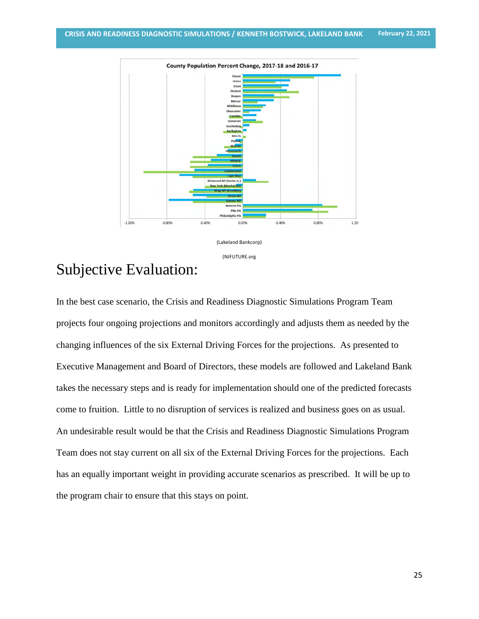

## Subjective Evaluation:

In the best case scenario, the Crisis and Readiness Diagnostic Simulations Program Team projects four ongoing projections and monitors accordingly and adjusts them as needed by the changing influences of the six External Driving Forces for the projections. As presented to Executive Management and Board of Directors, these models are followed and Lakeland Bank takes the necessary steps and is ready for implementation should one of the predicted forecasts come to fruition. Little to no disruption of services is realized and business goes on as usual. An undesirable result would be that the Crisis and Readiness Diagnostic Simulations Program Team does not stay current on all six of the External Driving Forces for the projections. Each has an equally important weight in providing accurate scenarios as prescribed. It will be up to the program chair to ensure that this stays on point.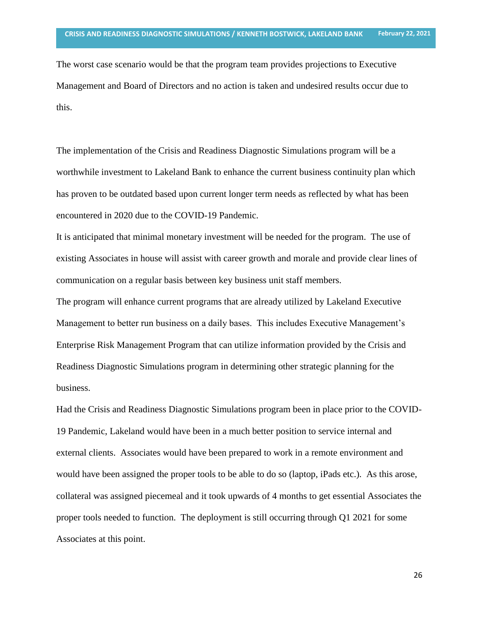The worst case scenario would be that the program team provides projections to Executive Management and Board of Directors and no action is taken and undesired results occur due to this.

The implementation of the Crisis and Readiness Diagnostic Simulations program will be a worthwhile investment to Lakeland Bank to enhance the current business continuity plan which has proven to be outdated based upon current longer term needs as reflected by what has been encountered in 2020 due to the COVID-19 Pandemic.

It is anticipated that minimal monetary investment will be needed for the program. The use of existing Associates in house will assist with career growth and morale and provide clear lines of communication on a regular basis between key business unit staff members.

The program will enhance current programs that are already utilized by Lakeland Executive Management to better run business on a daily bases. This includes Executive Management's Enterprise Risk Management Program that can utilize information provided by the Crisis and Readiness Diagnostic Simulations program in determining other strategic planning for the business.

Had the Crisis and Readiness Diagnostic Simulations program been in place prior to the COVID-19 Pandemic, Lakeland would have been in a much better position to service internal and external clients. Associates would have been prepared to work in a remote environment and would have been assigned the proper tools to be able to do so (laptop, iPads etc.). As this arose, collateral was assigned piecemeal and it took upwards of 4 months to get essential Associates the proper tools needed to function. The deployment is still occurring through Q1 2021 for some Associates at this point.

26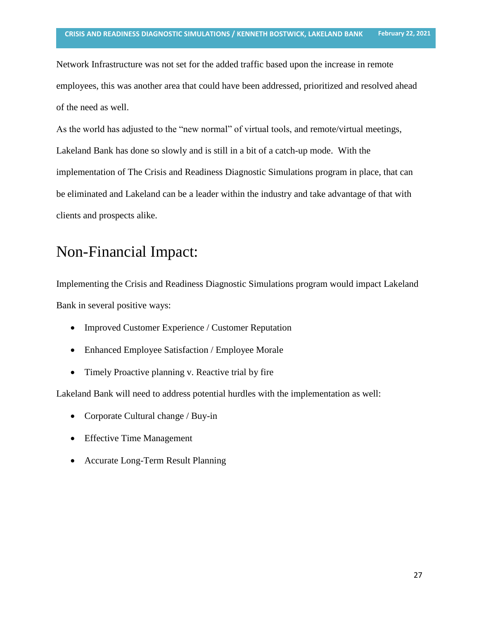Network Infrastructure was not set for the added traffic based upon the increase in remote employees, this was another area that could have been addressed, prioritized and resolved ahead of the need as well.

As the world has adjusted to the "new normal" of virtual tools, and remote/virtual meetings, Lakeland Bank has done so slowly and is still in a bit of a catch-up mode. With the implementation of The Crisis and Readiness Diagnostic Simulations program in place, that can be eliminated and Lakeland can be a leader within the industry and take advantage of that with clients and prospects alike.

## Non-Financial Impact:

Implementing the Crisis and Readiness Diagnostic Simulations program would impact Lakeland Bank in several positive ways:

- Improved Customer Experience / Customer Reputation
- Enhanced Employee Satisfaction / Employee Morale
- Timely Proactive planning v. Reactive trial by fire

Lakeland Bank will need to address potential hurdles with the implementation as well:

- Corporate Cultural change / Buy-in
- Effective Time Management
- Accurate Long-Term Result Planning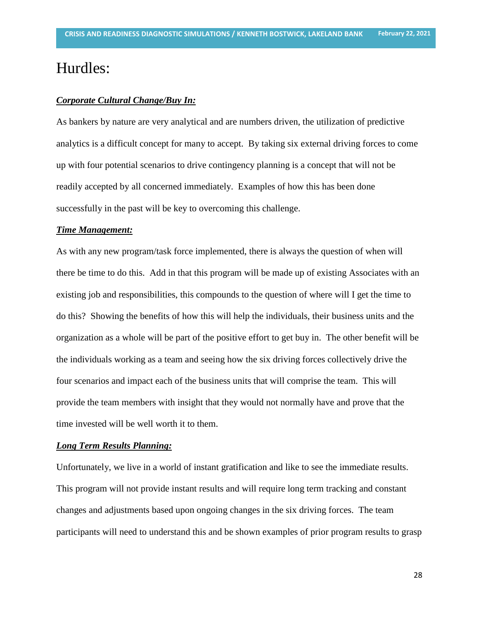### Hurdles:

#### *Corporate Cultural Change/Buy In:*

As bankers by nature are very analytical and are numbers driven, the utilization of predictive analytics is a difficult concept for many to accept. By taking six external driving forces to come up with four potential scenarios to drive contingency planning is a concept that will not be readily accepted by all concerned immediately. Examples of how this has been done successfully in the past will be key to overcoming this challenge.

#### *Time Management:*

As with any new program/task force implemented, there is always the question of when will there be time to do this. Add in that this program will be made up of existing Associates with an existing job and responsibilities, this compounds to the question of where will I get the time to do this? Showing the benefits of how this will help the individuals, their business units and the organization as a whole will be part of the positive effort to get buy in. The other benefit will be the individuals working as a team and seeing how the six driving forces collectively drive the four scenarios and impact each of the business units that will comprise the team. This will provide the team members with insight that they would not normally have and prove that the time invested will be well worth it to them.

#### *Long Term Results Planning:*

Unfortunately, we live in a world of instant gratification and like to see the immediate results. This program will not provide instant results and will require long term tracking and constant changes and adjustments based upon ongoing changes in the six driving forces. The team participants will need to understand this and be shown examples of prior program results to grasp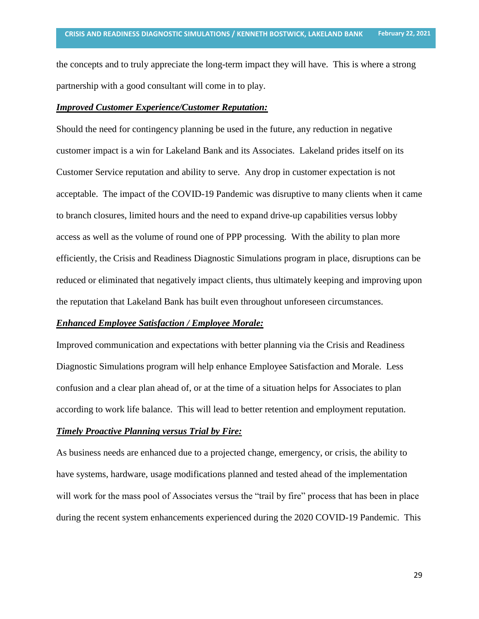the concepts and to truly appreciate the long-term impact they will have. This is where a strong partnership with a good consultant will come in to play.

### *Improved Customer Experience/Customer Reputation:*

Should the need for contingency planning be used in the future, any reduction in negative customer impact is a win for Lakeland Bank and its Associates. Lakeland prides itself on its Customer Service reputation and ability to serve. Any drop in customer expectation is not acceptable. The impact of the COVID-19 Pandemic was disruptive to many clients when it came to branch closures, limited hours and the need to expand drive-up capabilities versus lobby access as well as the volume of round one of PPP processing. With the ability to plan more efficiently, the Crisis and Readiness Diagnostic Simulations program in place, disruptions can be reduced or eliminated that negatively impact clients, thus ultimately keeping and improving upon the reputation that Lakeland Bank has built even throughout unforeseen circumstances.

#### *Enhanced Employee Satisfaction / Employee Morale:*

Improved communication and expectations with better planning via the Crisis and Readiness Diagnostic Simulations program will help enhance Employee Satisfaction and Morale. Less confusion and a clear plan ahead of, or at the time of a situation helps for Associates to plan according to work life balance. This will lead to better retention and employment reputation.

#### *Timely Proactive Planning versus Trial by Fire:*

As business needs are enhanced due to a projected change, emergency, or crisis, the ability to have systems, hardware, usage modifications planned and tested ahead of the implementation will work for the mass pool of Associates versus the "trail by fire" process that has been in place during the recent system enhancements experienced during the 2020 COVID-19 Pandemic. This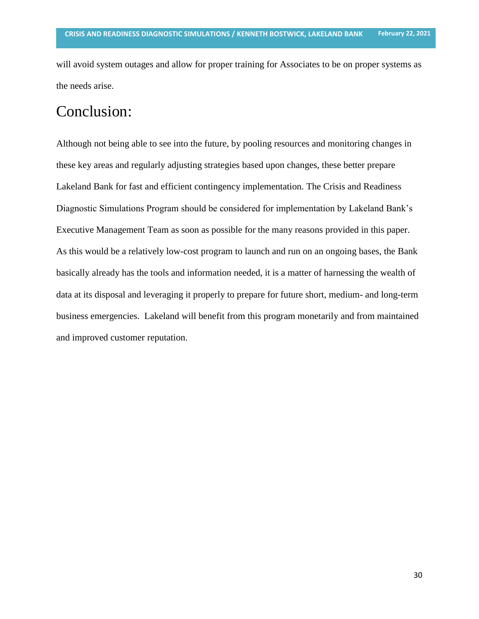will avoid system outages and allow for proper training for Associates to be on proper systems as the needs arise.

### Conclusion:

Although not being able to see into the future, by pooling resources and monitoring changes in these key areas and regularly adjusting strategies based upon changes, these better prepare Lakeland Bank for fast and efficient contingency implementation. The Crisis and Readiness Diagnostic Simulations Program should be considered for implementation by Lakeland Bank's Executive Management Team as soon as possible for the many reasons provided in this paper. As this would be a relatively low-cost program to launch and run on an ongoing bases, the Bank basically already has the tools and information needed, it is a matter of harnessing the wealth of data at its disposal and leveraging it properly to prepare for future short, medium- and long-term business emergencies. Lakeland will benefit from this program monetarily and from maintained and improved customer reputation.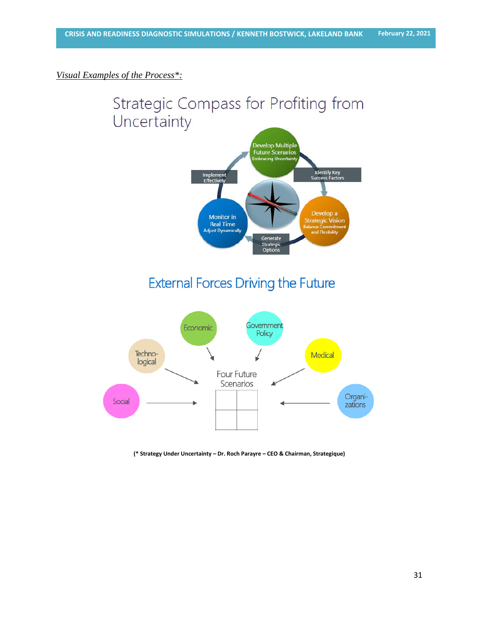*Visual Examples of the Process\*:*



**(\* Strategy Under Uncertainty – Dr. Roch Parayre – CEO & Chairman, Strategique)**